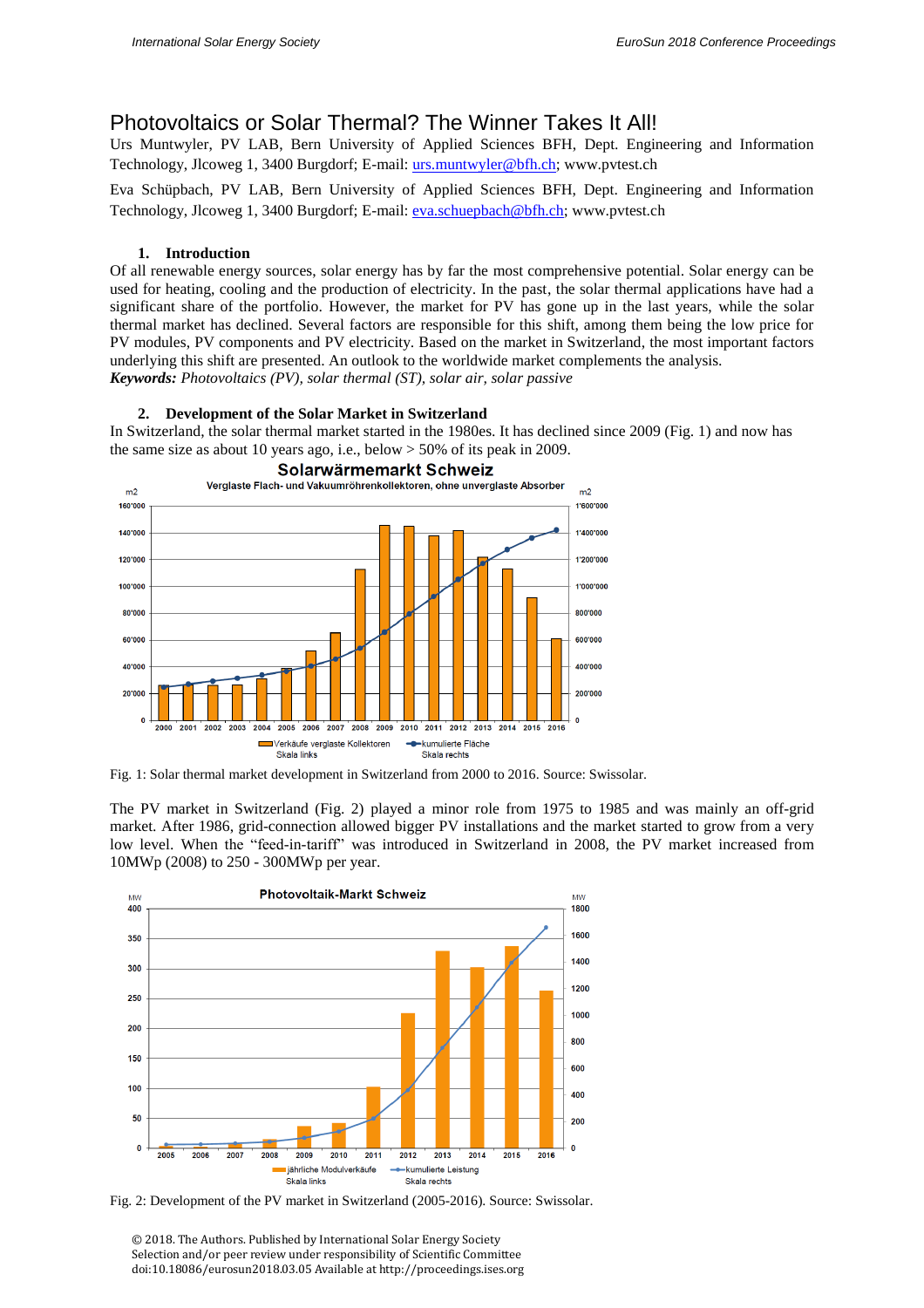# Photovoltaics or Solar Thermal? The Winner Takes It All!

Urs Muntwyler, PV LAB, Bern University of Applied Sciences BFH, Dept. Engineering and Information Technology, Jlcoweg 1, 3400 Burgdorf; E-mail: urs.muntwyler@bfh.ch; www.pvtest.ch

Eva Schüpbach, PV LAB, Bern University of Applied Sciences BFH, Dept. Engineering and Information Technology, Jlcoweg 1, 3400 Burgdorf; E-mail: eva.schuepbach@bfh.ch; www.pvtest.ch

## **1. Introduction**

Of all renewable energy sources, solar energy has by far the most comprehensive potential. Solar energy can be used for heating, cooling and the production of electricity. In the past, the solar thermal applications have had a significant share of the portfolio. However, the market for PV has gone up in the last years, while the solar thermal market has declined. Several factors are responsible for this shift, among them being the low price for PV modules, PV components and PV electricity. Based on the market in Switzerland, the most important factors underlying this shift are presented. An outlook to the worldwide market complements the analysis. *Keywords: Photovoltaics (PV), solar thermal (ST), solar air, solar passive*

## **2. Development of the Solar Market in Switzerland**

In Switzerland, the solar thermal market started in the 1980es. It has declined since 2009 (Fig. 1) and now has the same size as about 10 years ago, i.e., below  $> 50\%$  of its peak in 2009.



Fig. 1: Solar thermal market development in Switzerland from 2000 to 2016. Source: Swissolar.

The PV market in Switzerland (Fig. 2) played a minor role from 1975 to 1985 and was mainly an off-grid market. After 1986, grid-connection allowed bigger PV installations and the market started to grow from a very low level. When the "feed-in-tariff" was introduced in Switzerland in 2008, the PV market increased from 10MWp (2008) to 250 - 300MWp per year.



Fig. 2: Development of the PV market in Switzerland (2005-2016). Source: Swissolar.

© 2018. The Authors. Published by International Solar Energy Society Selection and/or peer review under responsibility of Scientific Committee doi:10.18086/eurosun2018.03.05 Available at http://proceedings.ises.org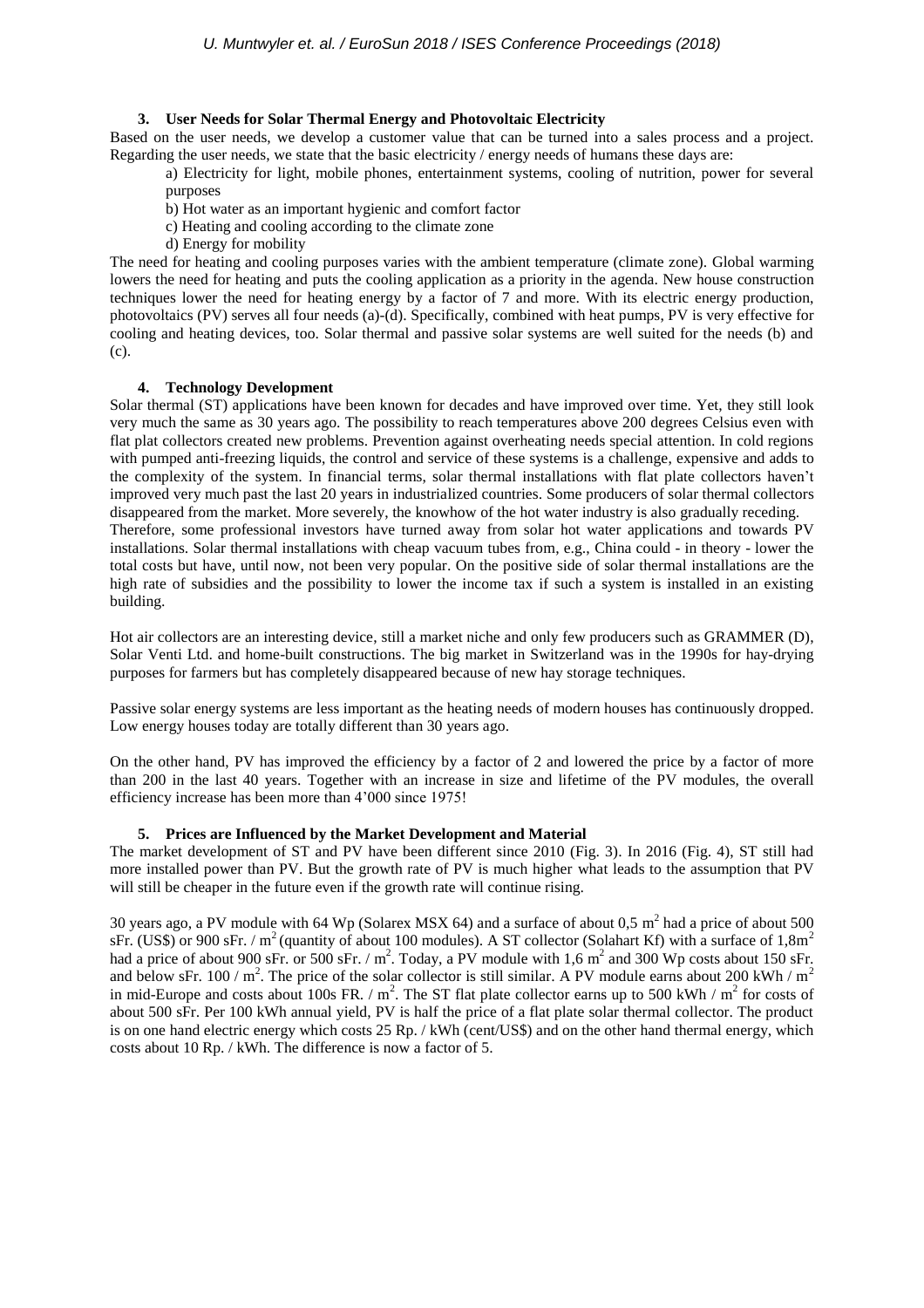## **3. User Needs for Solar Thermal Energy and Photovoltaic Electricity**

Based on the user needs, we develop a customer value that can be turned into a sales process and a project. Regarding the user needs, we state that the basic electricity / energy needs of humans these days are:

a) Electricity for light, mobile phones, entertainment systems, cooling of nutrition, power for several purposes

- b) Hot water as an important hygienic and comfort factor
- c) Heating and cooling according to the climate zone
- d) Energy for mobility

The need for heating and cooling purposes varies with the ambient temperature (climate zone). Global warming lowers the need for heating and puts the cooling application as a priority in the agenda. New house construction techniques lower the need for heating energy by a factor of 7 and more. With its electric energy production, photovoltaics (PV) serves all four needs (a)-(d). Specifically, combined with heat pumps, PV is very effective for cooling and heating devices, too. Solar thermal and passive solar systems are well suited for the needs (b) and (c).

## **4. Technology Development**

Solar thermal (ST) applications have been known for decades and have improved over time. Yet, they still look very much the same as 30 years ago. The possibility to reach temperatures above 200 degrees Celsius even with flat plat collectors created new problems. Prevention against overheating needs special attention. In cold regions with pumped anti-freezing liquids, the control and service of these systems is a challenge, expensive and adds to the complexity of the system. In financial terms, solar thermal installations with flat plate collectors haven't improved very much past the last 20 years in industrialized countries. Some producers of solar thermal collectors disappeared from the market. More severely, the knowhow of the hot water industry is also gradually receding. Therefore, some professional investors have turned away from solar hot water applications and towards PV installations. Solar thermal installations with cheap vacuum tubes from, e.g., China could - in theory - lower the total costs but have, until now, not been very popular. On the positive side of solar thermal installations are the high rate of subsidies and the possibility to lower the income tax if such a system is installed in an existing building.

Hot air collectors are an interesting device, still a market niche and only few producers such as GRAMMER (D), Solar Venti Ltd. and home-built constructions. The big market in Switzerland was in the 1990s for hay-drying purposes for farmers but has completely disappeared because of new hay storage techniques.

Passive solar energy systems are less important as the heating needs of modern houses has continuously dropped. Low energy houses today are totally different than 30 years ago.

On the other hand, PV has improved the efficiency by a factor of 2 and lowered the price by a factor of more than 200 in the last 40 years. Together with an increase in size and lifetime of the PV modules, the overall efficiency increase has been more than 4'000 since 1975!

## **5. Prices are Influenced by the Market Development and Material**

The market development of ST and PV have been different since 2010 (Fig. 3). In 2016 (Fig. 4), ST still had more installed power than PV. But the growth rate of PV is much higher what leads to the assumption that PV will still be cheaper in the future even if the growth rate will continue rising.

30 years ago, a PV module with 64 Wp (Solarex MSX 64) and a surface of about 0,5  $m^2$  had a price of about 500 sFr. (US\$) or 900 sFr. /  $m^2$  (quantity of about 100 modules). A ST collector (Solahart Kf) with a surface of 1,8m<sup>2</sup> had a price of about 900 sFr. or 500 sFr.  $/m^2$ . Today, a PV module with 1,6  $m^2$  and 300 Wp costs about 150 sFr. and below sFr. 100 /  $m^2$ . The price of the solar collector is still similar. A PV module earns about 200 kWh /  $m^2$ in mid-Europe and costs about 100s FR. /  $m^2$ . The ST flat plate collector earns up to 500 kWh /  $m^2$  for costs of about 500 sFr. Per 100 kWh annual yield, PV is half the price of a flat plate solar thermal collector. The product is on one hand electric energy which costs 25 Rp. / kWh (cent/US\$) and on the other hand thermal energy, which costs about 10 Rp. / kWh. The difference is now a factor of 5.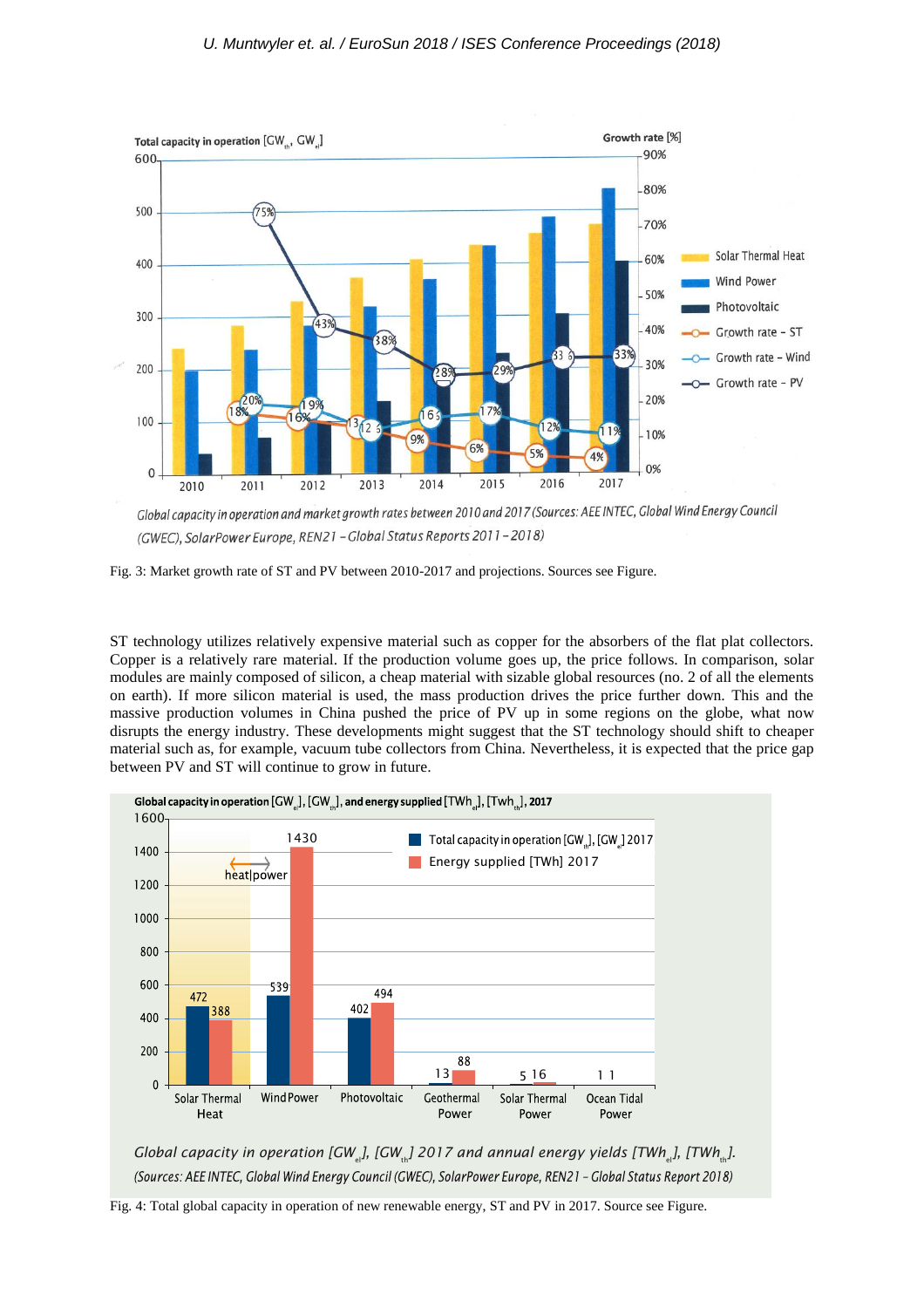

Global capacity in operation and market growth rates between 2010 and 2017 (Sources: AEE INTEC, Global Wind Energy Council (GWEC), SolarPower Europe, REN21 - Global Status Reports 2011-2018)

ST technology utilizes relatively expensive material such as copper for the absorbers of the flat plat collectors. Copper is a relatively rare material. If the production volume goes up, the price follows. In comparison, solar modules are mainly composed of silicon, a cheap material with sizable global resources (no. 2 of all the elements on earth). If more silicon material is used, the mass production drives the price further down. This and the massive production volumes in China pushed the price of PV up in some regions on the globe, what now disrupts the energy industry. These developments might suggest that the ST technology should shift to cheaper material such as, for example, vacuum tube collectors from China. Nevertheless, it is expected that the price gap between PV and ST will continue to grow in future.



*Global capacity in operation [GW<sub>in</sub>], [GW<sub>in</sub>] 2017 and annual energy yields [TWh<sub>in</sub>], [TWh<sub>in</sub>].* (Sources: AEE INTEC, Global Wind Energy Council (GWEC), SolarPower Europe, REN21 - Global Status Report 2018)

Fig. 4: Total global capacity in operation of new renewable energy, ST and PV in 2017. Source see Figure.

Fig. 3: Market growth rate of ST and PV between 2010-2017 and projections. Sources see Figure.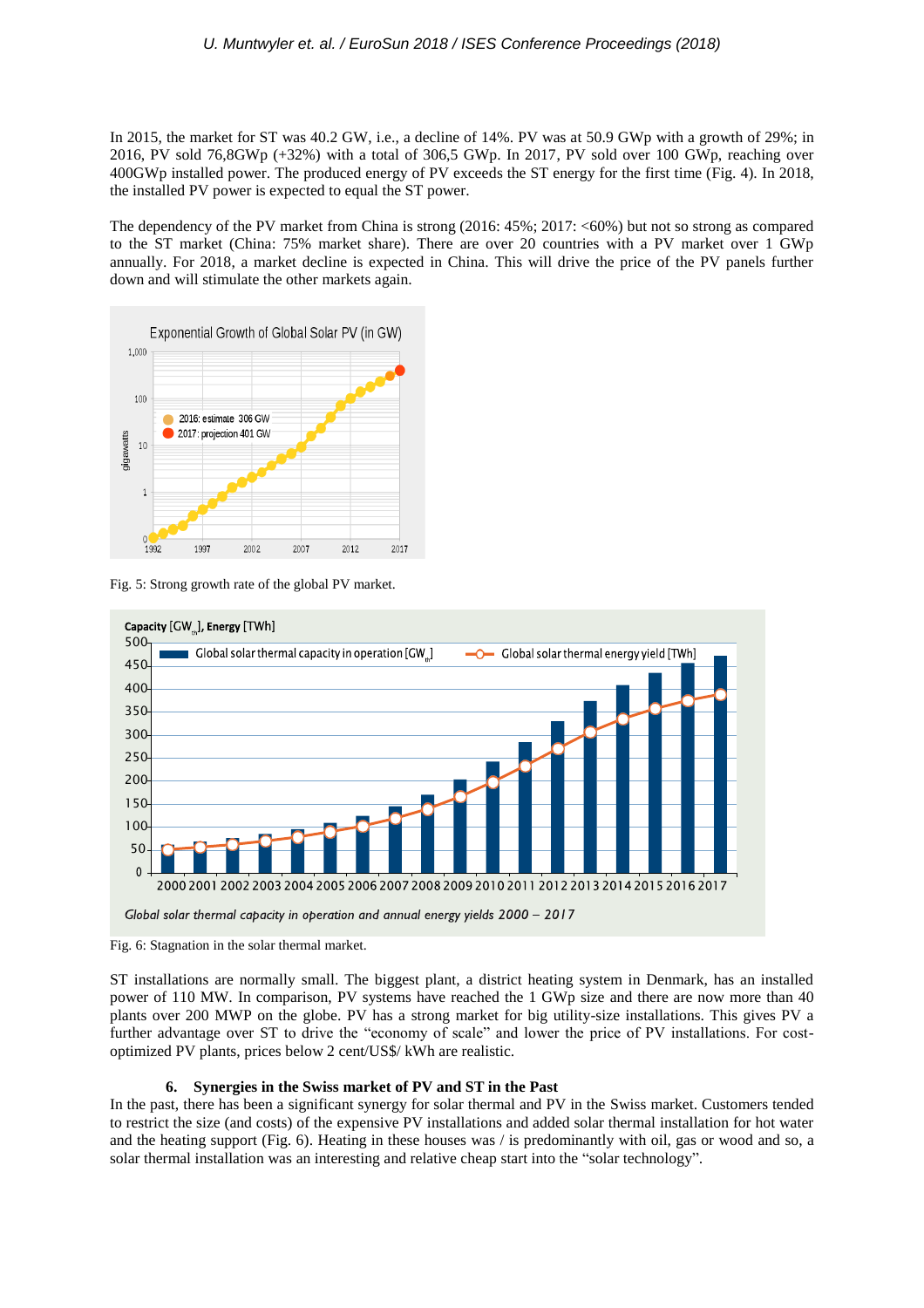In 2015, the market for ST was 40.2 GW, i.e., a decline of 14%. PV was at 50.9 GWp with a growth of 29%; in 2016, PV sold 76,8GWp (+32%) with a total of 306,5 GWp. In 2017, PV sold over 100 GWp, reaching over 400GWp installed power. The produced energy of PV exceeds the ST energy for the first time (Fig. 4). In 2018, the installed PV power is expected to equal the ST power.

The dependency of the PV market from China is strong (2016: 45%; 2017: <60%) but not so strong as compared to the ST market (China: 75% market share). There are over 20 countries with a PV market over 1 GWp annually. For 2018, a market decline is expected in China. This will drive the price of the PV panels further down and will stimulate the other markets again.



Fig. 5: Strong growth rate of the global PV market.



Fig. 6: Stagnation in the solar thermal market.

ST installations are normally small. The biggest plant, a district heating system in Denmark, has an installed power of 110 MW. In comparison, PV systems have reached the 1 GWp size and there are now more than 40 plants over 200 MWP on the globe. PV has a strong market for big utility-size installations. This gives PV a further advantage over ST to drive the "economy of scale" and lower the price of PV installations. For costoptimized PV plants, prices below 2 cent/US\$/ kWh are realistic.

## **6. Synergies in the Swiss market of PV and ST in the Past**

In the past, there has been a significant synergy for solar thermal and PV in the Swiss market. Customers tended to restrict the size (and costs) of the expensive PV installations and added solar thermal installation for hot water and the heating support (Fig. 6). Heating in these houses was / is predominantly with oil, gas or wood and so, a solar thermal installation was an interesting and relative cheap start into the "solar technology".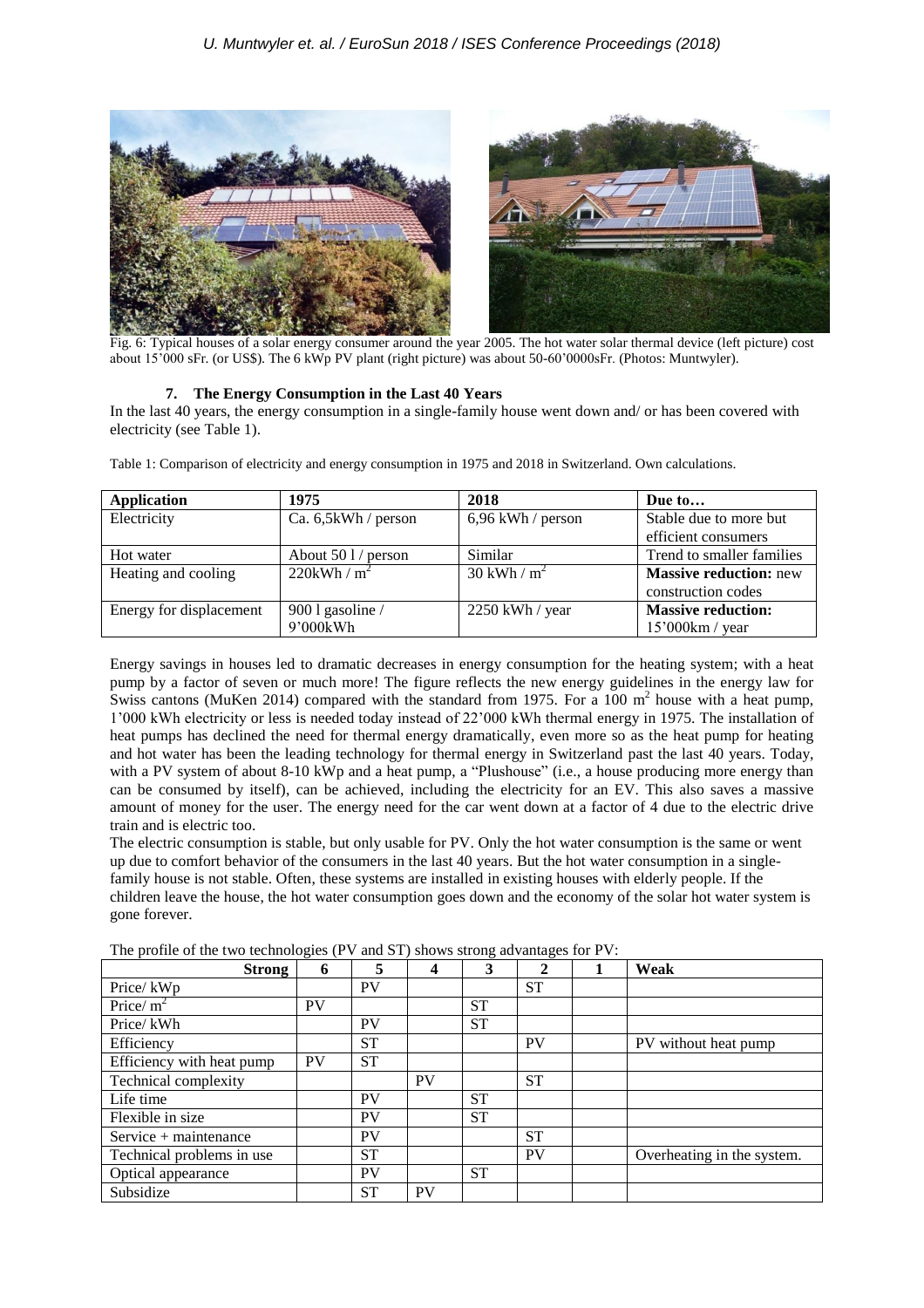

Fig. 6: Typical houses of a solar energy consumer around the year 2005. The hot water solar thermal device (left picture) cost about 15'000 sFr. (or US\$). The 6 kWp PV plant (right picture) was about 50-60'0000sFr. (Photos: Muntwyler).

## **7. The Energy Consumption in the Last 40 Years**

In the last 40 years, the energy consumption in a single-family house went down and/ or has been covered with electricity (see Table 1).

| Application             | 1975                       | 2018                      | Due to                        |
|-------------------------|----------------------------|---------------------------|-------------------------------|
| Electricity             | Ca. $6,5kWh/person$        | $6,96$ kWh / person       | Stable due to more but        |
|                         |                            |                           | efficient consumers           |
| Hot water               | About $501/$ person        | Similar                   | Trend to smaller families     |
| Heating and cooling     | $220$ kWh / m <sup>2</sup> | $30$ kWh / m <sup>2</sup> | <b>Massive reduction: new</b> |
|                         |                            |                           | construction codes            |
| Energy for displacement | $9001$ gasoline /          | 2250 kWh / year           | <b>Massive reduction:</b>     |
|                         | 9'000kWh                   |                           | 15'000km / year               |

Table 1: Comparison of electricity and energy consumption in 1975 and 2018 in Switzerland. Own calculations.

Energy savings in houses led to dramatic decreases in energy consumption for the heating system; with a heat pump by a factor of seven or much more! The figure reflects the new energy guidelines in the energy law for Swiss cantons (MuKen 2014) compared with the standard from 1975. For a 100  $m<sup>2</sup>$  house with a heat pump, 1'000 kWh electricity or less is needed today instead of 22'000 kWh thermal energy in 1975. The installation of heat pumps has declined the need for thermal energy dramatically, even more so as the heat pump for heating and hot water has been the leading technology for thermal energy in Switzerland past the last 40 years. Today, with a PV system of about 8-10 kWp and a heat pump, a "Plushouse" (i.e., a house producing more energy than can be consumed by itself), can be achieved, including the electricity for an EV. This also saves a massive amount of money for the user. The energy need for the car went down at a factor of 4 due to the electric drive train and is electric too.

The electric consumption is stable, but only usable for PV. Only the hot water consumption is the same or went up due to comfort behavior of the consumers in the last 40 years. But the hot water consumption in a singlefamily house is not stable. Often, these systems are installed in existing houses with elderly people. If the children leave the house, the hot water consumption goes down and the economy of the solar hot water system is gone forever.

The profile of the two technologies (PV and ST) shows strong advantages for PV:

| <b>Strong</b>             | 6         | 5         | 4         | 3         | $\mathbf{2}$ | Weak                       |
|---------------------------|-----------|-----------|-----------|-----------|--------------|----------------------------|
| Price/kWp                 |           | <b>PV</b> |           |           | <b>ST</b>    |                            |
| Price/ $m^2$              | <b>PV</b> |           |           | <b>ST</b> |              |                            |
| Price/kWh                 |           | PV        |           | <b>ST</b> |              |                            |
| Efficiency                |           | <b>ST</b> |           |           | <b>PV</b>    | PV without heat pump       |
| Efficiency with heat pump | <b>PV</b> | <b>ST</b> |           |           |              |                            |
| Technical complexity      |           |           | <b>PV</b> |           | <b>ST</b>    |                            |
| Life time                 |           | <b>PV</b> |           | <b>ST</b> |              |                            |
| Flexible in size          |           | <b>PV</b> |           | <b>ST</b> |              |                            |
| Service + maintenance     |           | <b>PV</b> |           |           | <b>ST</b>    |                            |
| Technical problems in use |           | <b>ST</b> |           |           | <b>PV</b>    | Overheating in the system. |
| Optical appearance        |           | PV        |           | <b>ST</b> |              |                            |
| Subsidize                 |           | <b>ST</b> | <b>PV</b> |           |              |                            |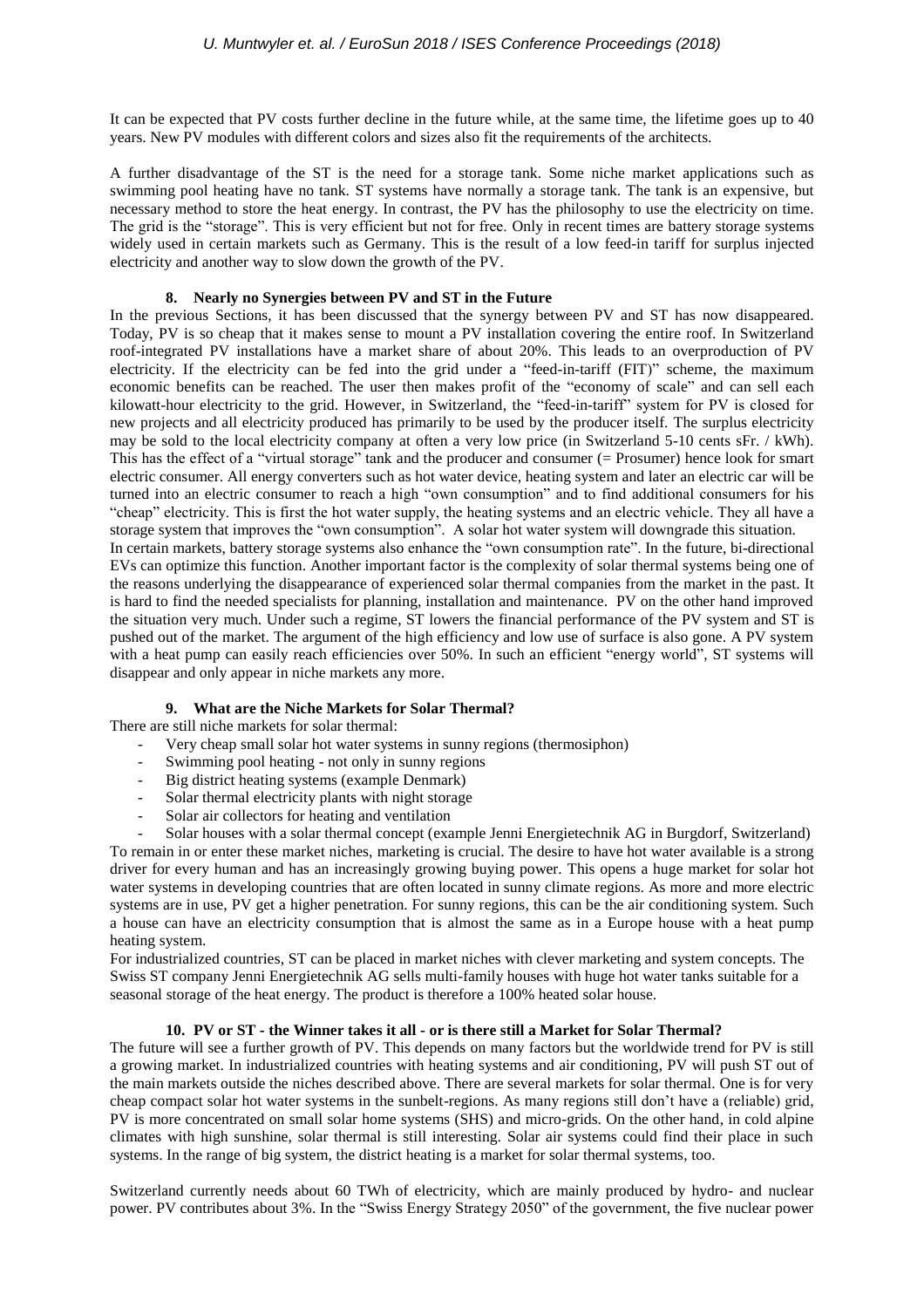It can be expected that PV costs further decline in the future while, at the same time, the lifetime goes up to 40 years. New PV modules with different colors and sizes also fit the requirements of the architects.

A further disadvantage of the ST is the need for a storage tank. Some niche market applications such as swimming pool heating have no tank. ST systems have normally a storage tank. The tank is an expensive, but necessary method to store the heat energy. In contrast, the PV has the philosophy to use the electricity on time. The grid is the "storage". This is very efficient but not for free. Only in recent times are battery storage systems widely used in certain markets such as Germany. This is the result of a low feed-in tariff for surplus injected electricity and another way to slow down the growth of the PV.

#### **8. Nearly no Synergies between PV and ST in the Future**

In the previous Sections, it has been discussed that the synergy between PV and ST has now disappeared. Today, PV is so cheap that it makes sense to mount a PV installation covering the entire roof. In Switzerland roof-integrated PV installations have a market share of about 20%. This leads to an overproduction of PV electricity. If the electricity can be fed into the grid under a "feed-in-tariff (FIT)" scheme, the maximum economic benefits can be reached. The user then makes profit of the "economy of scale" and can sell each kilowatt-hour electricity to the grid. However, in Switzerland, the "feed-in-tariff" system for PV is closed for new projects and all electricity produced has primarily to be used by the producer itself. The surplus electricity may be sold to the local electricity company at often a very low price (in Switzerland 5-10 cents sFr. / kWh). This has the effect of a "virtual storage" tank and the producer and consumer (= Prosumer) hence look for smart electric consumer. All energy converters such as hot water device, heating system and later an electric car will be turned into an electric consumer to reach a high "own consumption" and to find additional consumers for his "cheap" electricity. This is first the hot water supply, the heating systems and an electric vehicle. They all have a storage system that improves the "own consumption". A solar hot water system will downgrade this situation. In certain markets, battery storage systems also enhance the "own consumption rate". In the future, bi-directional EVs can optimize this function. Another important factor is the complexity of solar thermal systems being one of the reasons underlying the disappearance of experienced solar thermal companies from the market in the past. It is hard to find the needed specialists for planning, installation and maintenance. PV on the other hand improved

the situation very much. Under such a regime, ST lowers the financial performance of the PV system and ST is pushed out of the market. The argument of the high efficiency and low use of surface is also gone. A PV system with a heat pump can easily reach efficiencies over 50%. In such an efficient "energy world", ST systems will disappear and only appear in niche markets any more.

#### **9. What are the Niche Markets for Solar Thermal?**

There are still niche markets for solar thermal:

- Very cheap small solar hot water systems in sunny regions (thermosiphon)
- Swimming pool heating not only in sunny regions
- Big district heating systems (example Denmark)
- Solar thermal electricity plants with night storage
- Solar air collectors for heating and ventilation

- Solar houses with a solar thermal concept (example Jenni Energietechnik AG in Burgdorf, Switzerland) To remain in or enter these market niches, marketing is crucial. The desire to have hot water available is a strong driver for every human and has an increasingly growing buying power. This opens a huge market for solar hot water systems in developing countries that are often located in sunny climate regions. As more and more electric systems are in use, PV get a higher penetration. For sunny regions, this can be the air conditioning system. Such a house can have an electricity consumption that is almost the same as in a Europe house with a heat pump heating system.

For industrialized countries, ST can be placed in market niches with clever marketing and system concepts. The Swiss ST company Jenni Energietechnik AG sells multi-family houses with huge hot water tanks suitable for a seasonal storage of the heat energy. The product is therefore a 100% heated solar house.

#### **10. PV or ST - the Winner takes it all - or is there still a Market for Solar Thermal?**

The future will see a further growth of PV. This depends on many factors but the worldwide trend for PV is still a growing market. In industrialized countries with heating systems and air conditioning, PV will push ST out of the main markets outside the niches described above. There are several markets for solar thermal. One is for very cheap compact solar hot water systems in the sunbelt-regions. As many regions still don't have a (reliable) grid, PV is more concentrated on small solar home systems (SHS) and micro-grids. On the other hand, in cold alpine climates with high sunshine, solar thermal is still interesting. Solar air systems could find their place in such systems. In the range of big system, the district heating is a market for solar thermal systems, too.

Switzerland currently needs about 60 TWh of electricity, which are mainly produced by hydro- and nuclear power. PV contributes about 3%. In the "Swiss Energy Strategy 2050" of the government, the five nuclear power